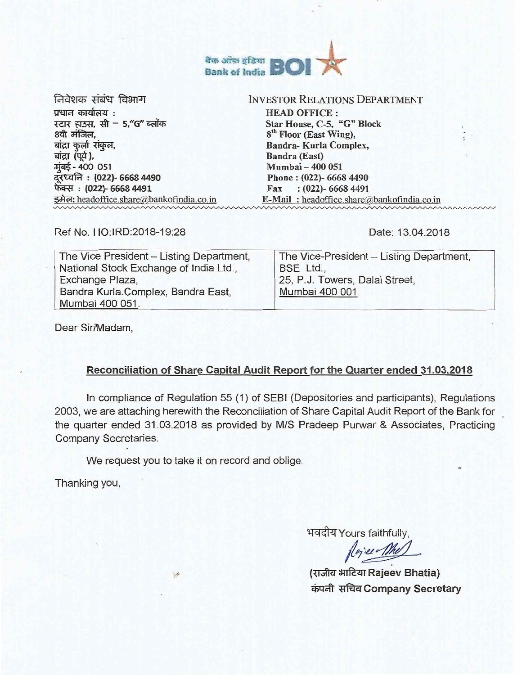

निवेशक संबंध विभाग प्रधान कार्यालय : स्टार हाउस, सी - 5,"G" ब्लॉक 8वी मंजिल, बांद्रा कुर्ला संकुल, बांद्रा (पूर्व), मंबई - 400 051 : (022)- 6668 4490 फेक्स: (022)- 6668 4491 इमेल: headoffice.share@bankofindia.co.in

## INVESTOR RELATIONS DEPARTMENT

HEAD OFFICE : Star House, C-5, "G" Block 8<sup>th</sup> Floor (East Wing), Bandra- Kurla Complex, Bandra (East) Mumbai — 400 051 Phone : (022)- 6668 4490 Fax : (022)- 6668 4491 E-Mail: headoffice.share@bankofindia.co.in

Ref No. HO:IRD:2018-19:28

Date: 13.04.2018

| The Vice President - Listing Department, | The Vice-President - Listing Department, |
|------------------------------------------|------------------------------------------|
| National Stock Exchange of India Ltd.,   | BSE Ltd.,                                |
|                                          |                                          |
| Exchange Plaza,                          | 25, P.J. Towers, Dalal Street,           |
| Bandra Kurla Complex, Bandra East,       | Mumbai 400 001.                          |
| Mumbai 400 051.                          |                                          |

Dear Sir/Madam,

# **Reconciliation of Share Capital Audit Report for the Quarter ended 31.03.2018**

In compliance of Regulation 55 (1) of SEBI (Depositories and participants), Regulations 2003, we are attaching herewith the Reconciliation of Share Capital Audit Report of the Bank for the quarter ended 31.03.2018 as provided by M/S Pradeep Purwar & Associates, Practicing Company Secretaries.

We request you to take it on record and oblige.

 $\mathbb{R}^n$ 

Thanking you,

भवदीय Yours faithfully,

vice The

(राजीव भाटिया Rajeev Bhatia) **TrItaCompany Secretary**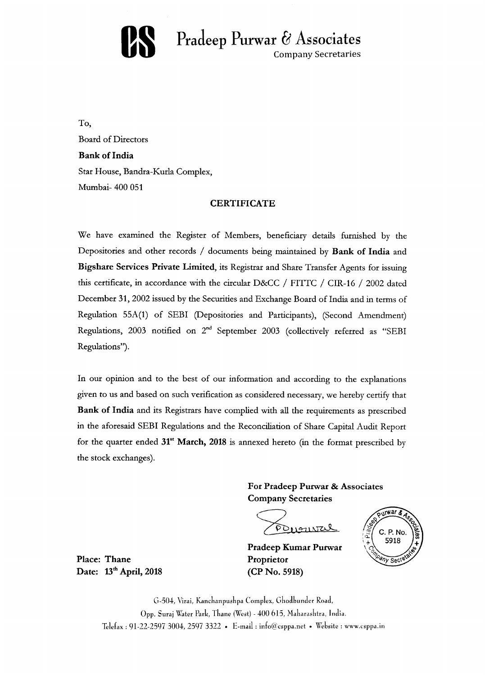

**Pradeep Purwar & Associates** Company Secretaries

To, Board of Directors **Bank of India**  Star House, Bandra-Kurla Complex, Mumbai- 400 051

#### **CERTIFICATE**

We have examined the Register of Members, beneficiary details furnished by the Depositories and other records / documents being maintained by **Bank of India** and **Bigshare Services Private Limited,** its Registrar and Share Transfer Agents for issuing this certificate, in accordance with the circular D&CC / FITTC / CIR-16 / 2002 dated December 31, 2002 issued by the Securities and Exchange Board of India and in terms of Regulation 55A(1) of SEBI (Depositories and Participants), (Second Amendment) Regulations, 2003 notified on  $2^{nd}$  September 2003 (collectively referred as "SEBI Regulations").

In our opinion and to the best of our information and according to the explanations given to us and based on such verification as considered necessary, we hereby certify that **Bank of India** and its Registrars have complied with all the requirements as prescribed in the aforesaid SEBI Regulations and the Reconciliation of Share Capital Audit Report for the quarter ended **31' March, 2018** is annexed hereto (in the format prescribed by the stock exchanges).

> **For Pradeep Purwar & Associates Company Secretaries**

POLLENTO

**Pradeep Kumar Purwar Proprietor (CP No. 5918)** 



**Place: Thane**  Date: 13<sup>th</sup> April, 2018

> G-504, Virai, Kanchanpuskpa Complex, Ghodbunder Road, Opp. Suraj Water Park, Thane (West) - 400 615, Maharashtra, India. Telefax : 91-22-2597 3004, 2597 3322 • E-mail : info@csppa.net • Website : www.csppa.in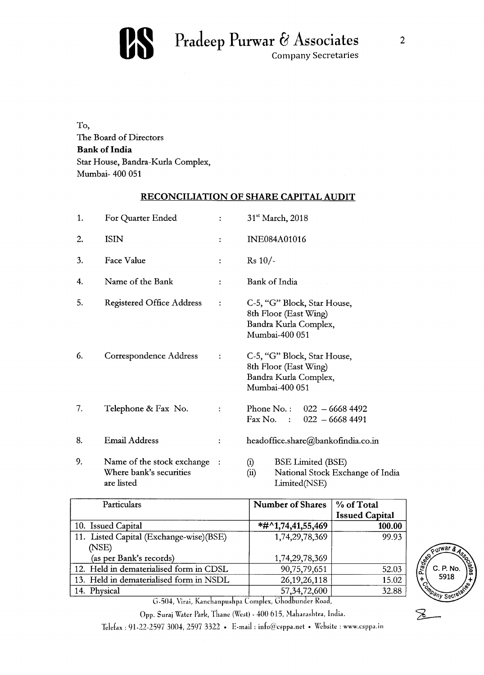

To, The Board of Directors **Bank of India**  Star House, Bandra-Kurla Complex, Mumbai- 400 051

# **RECONCILIATION OF SHARE CAPITAL AUDIT**

| 1. | For Quarter Ended                                                   |                | 31 <sup>st</sup> March, 2018                                                                          |  |
|----|---------------------------------------------------------------------|----------------|-------------------------------------------------------------------------------------------------------|--|
| 2. | <b>ISIN</b>                                                         | ÷              | <b>INE084A01016</b>                                                                                   |  |
| 3. | Face Value                                                          | $\ddot{\cdot}$ | $Rs 10/-$                                                                                             |  |
| 4. | Name of the Bank                                                    | $\ddot{\cdot}$ | Bank of India                                                                                         |  |
| 5. | <b>Registered Office Address</b>                                    | $\ddot{\cdot}$ | C-5, "G" Block, Star House,<br>8th Floor (East Wing)<br>Bandra Kurla Complex,<br>Mumbai-400 051       |  |
| 6. | Correspondence Address                                              | $\ddot{\cdot}$ | C-5, "G" Block, Star House,<br>8th Floor (East Wing)<br>Bandra Kurla Complex,<br>Mumbai-400 051       |  |
| 7. | Telephone & Fax No.                                                 |                | Phone No.: $022 - 66684492$<br>Fax No. : $022 - 66684491$                                             |  |
| 8. | <b>Email Address</b>                                                | $\ddot{\cdot}$ | headoffice.share@bankofindia.co.in                                                                    |  |
| 9. | Name of the stock exchange<br>Where bank's securities<br>are listed |                | <b>BSE Limited (BSE)</b><br>(i)<br>National Stock Exchange of India<br>$\binom{1}{1}$<br>Limited(NSE) |  |

| Particulars                                      | <b>Number of Shares</b> | % of Total<br><b>Issued Capital</b> |
|--------------------------------------------------|-------------------------|-------------------------------------|
| 10. Issued Capital                               | $*#^01,74,41,55,469$    | 100.00                              |
| 11. Listed Capital (Exchange-wise)(BSE)<br>(NSE) | 1,74,29,78,369          | 99.93                               |
| (as per Bank's records)                          | 1,74,29,78,369          |                                     |
| 12. Held in dematerialised form in CDSL          | 90,75,79,651            | 52.03                               |
| 13. Held in dematerialised form in NSDL          | 26, 19, 26, 118         | 15.02                               |
| 14. Physical                                     | 57, 34, 72, 600         | 32.88                               |



G-504, Virai, Kanchanpushpa Complex, Ghodbunder Road,

Opp. Suraj Water Park, Thane (West) - 400 615, Maharashtra, India.

Telefax : 91-22-2597 3004, 2597 3322 • E-mail : info@csppa.net • Website : www.csppa.in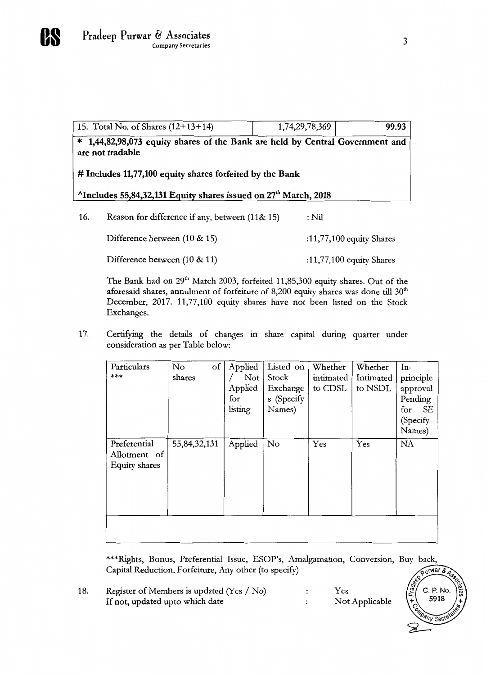|                                                                                         | 15. Total No. of Shares $(12+13+14)$                                                            | 1,74,29,78,369 | 99.93 |  |
|-----------------------------------------------------------------------------------------|-------------------------------------------------------------------------------------------------|----------------|-------|--|
| $\ast$                                                                                  | 1,44,82,98,073 equity shares of the Bank are held by Central Government and<br>are not tradable |                |       |  |
| # Includes 11,77,100 equity shares forfeited by the Bank                                |                                                                                                 |                |       |  |
| <sup>^</sup> Includes 55,84,32,131 Equity shares issued on 27 <sup>th</sup> March, 2018 |                                                                                                 |                |       |  |
|                                                                                         |                                                                                                 |                |       |  |
| 16.                                                                                     | Reason for difference if any, between (11& 15)                                                  | : Nil          |       |  |

The Bank had on  $29<sup>th</sup>$  March 2003, forfeited 11,85,300 equity shares. Out of the aforesaid shares, annulment of forfeiture of 8,200 equity shares was done till  $30<sup>th</sup>$ December, 2017. 11,77,100 equity shares have not been listed on the Stock Exchanges.

Difference between (10 & 11) :11,77,100 equity Shares

17. Certifying the details of changes in share capital during quarter under consideration as per Table below:

| Particulars<br>***                            | No<br>of<br>shares | Applied<br>Not<br>Applied<br>for | Listed on<br>Stock<br>Exchange<br>s (Specify | Whether<br>intimated<br>to CDSL | Whether<br>Intimated<br>to NSDL | $In-$<br>principle<br>approval<br>Pending |
|-----------------------------------------------|--------------------|----------------------------------|----------------------------------------------|---------------------------------|---------------------------------|-------------------------------------------|
|                                               |                    | listing                          | Names)                                       |                                 |                                 | SE<br>for<br>(Specify<br>Names)           |
| Preferential<br>Allotment of<br>Equity shares | 55,84,32,131       | Applied                          | No                                           | Yes                             | Yes                             | NA                                        |
|                                               |                    |                                  |                                              |                                 |                                 |                                           |

\*\*\*Rights, Bonus, Preferential Issue, ESOP's, Amalgamation, Conversion, Buy back, Capital Reduction, Forfeiture, Any other (to specify)

18. Register of Members is updated (Yes / No)  $\mathbf{.}$ Yes Not Applicable If not, updated upto which date  $\mathbf{.}$ 

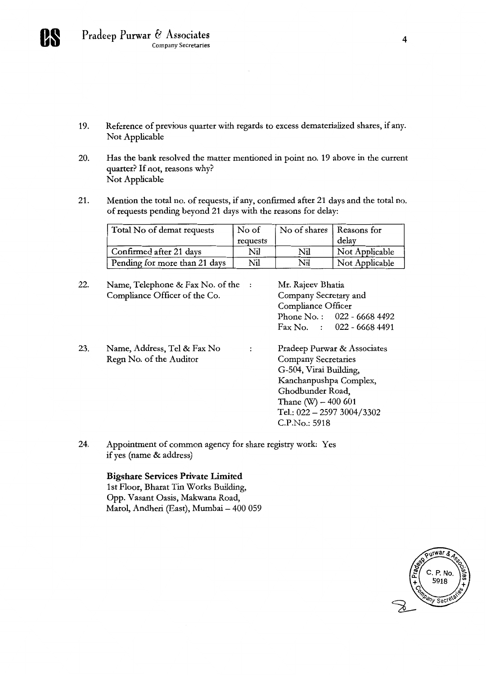

- 19. Reference of previous quarter with regards to excess dematerialized shares, if any. Not Applicable
- 20. Has the bank resolved the matter mentioned in point no. 19 above in the current quarter? If not, reasons why? Not Applicable
- 21. Mention the total no. of requests, if any, confirmed after 21 days and the total no. of requests pending beyond 21 days with the reasons for delay:

| Total No of demat requests    | No of    | No of shares   Reasons for |                |
|-------------------------------|----------|----------------------------|----------------|
|                               | requests |                            | delay          |
| Confirmed after 21 days       | Nil      | Nil                        | Not Applicable |
| Pending for more than 21 days | Nil      | Nil                        | Not Applicable |

| 22. | Name, Telephone & Fax No. of the<br>Compliance Officer of the Co. |                | Mr. Rajeev Bhatia<br>Company Secretary and<br>Compliance Officer<br>Phone No.: $022 - 66684492$<br>Fax No. : $022 - 66684491$                                                                             |
|-----|-------------------------------------------------------------------|----------------|-----------------------------------------------------------------------------------------------------------------------------------------------------------------------------------------------------------|
| 23. | Name, Address, Tel & Fax No<br>Regn No. of the Auditor            | $\ddot{\cdot}$ | Pradeep Purwar & Associates<br><b>Company Secretaries</b><br>G-504, Virai Building,<br>Kanchanpushpa Complex,<br>Ghodbunder Road,<br>Thane $(W) - 400601$<br>Tel.: $022 - 25973004/3302$<br>C.P.No.: 5918 |

24. Appointment of common agency for share registry work: Yes if yes (name & address)

## **Bigshare Services Private Limited 1st** Floor, Bharat Tin Works Building, Opp. Vasant Oasis, Makwana Road, Marol, Andheri (East), Mumbai — 400 059